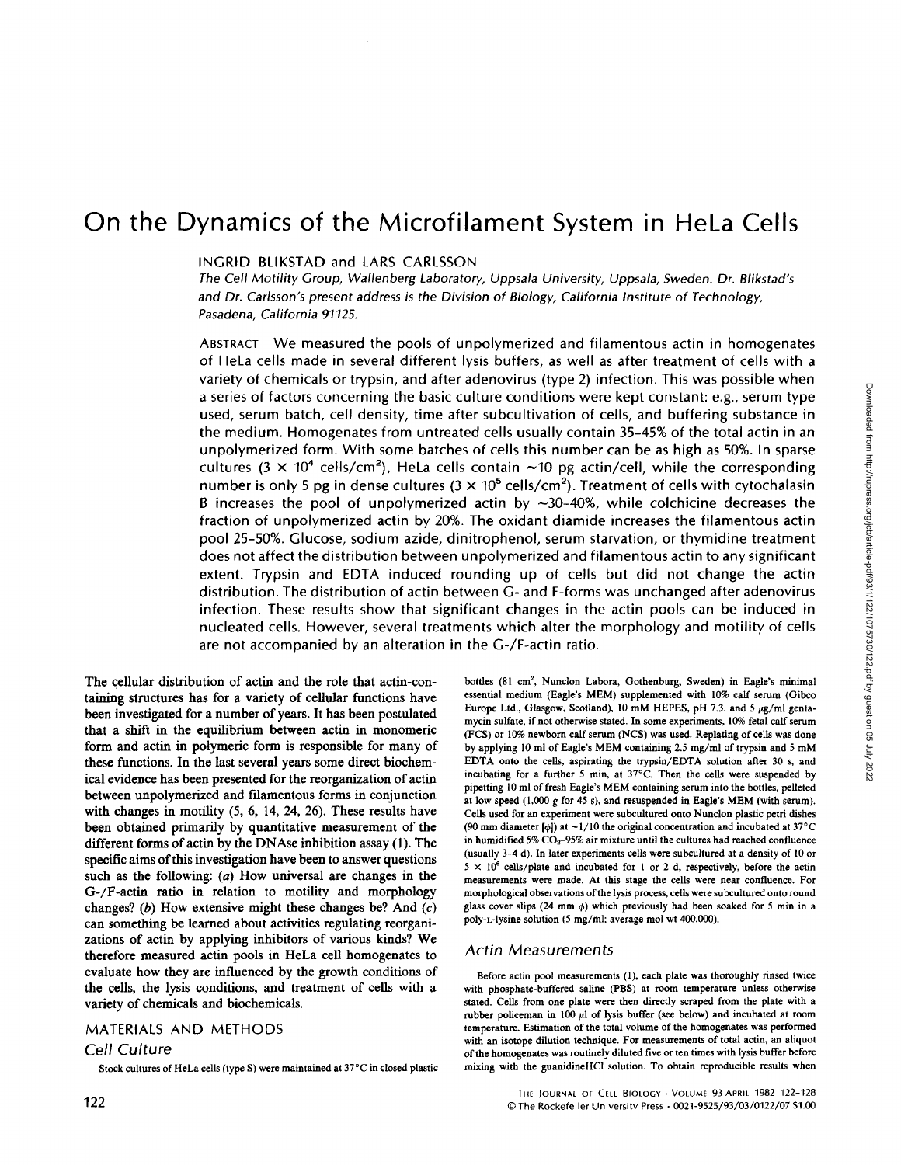# On the Dynamics of the Microfilament System in HeLa Cells

## INGRID BLIKSTAD and LARS CARLSSON

The Cell Motility Group, Wallenberg Laboratory, Uppsala University, Uppsala, Sweden. Dr. Blikstad's and Dr. Carlsson's present address is the Division of Biology, California Institute of Technology, Pasadena, California 91125.

ABSTRACT We measured the pools of unpolymerized and filamentous actin in homogenates of HeLa cells made in several different lysis buffers, as well as after treatment of cells with a variety of chemicals or trypsin, and after adenovirus (type 2) infection. This was possible when a series of factors concerning the basic culture conditions were kept constant: e.g., serum type used, serum batch, cell density, time after subcultivation of cells, and buffering substance in the medium . Homogenates from untreated cells usually contain 35-45% of the total actin in an unpolymerized form . With some batches of cells this number can be as high as 50%. In sparse cultures ( $3 \times 10^4$  cells/cm<sup>2</sup>), HeLa cells contain ~10 pg actin/cell, while the corresponding number is only 5 p<mark>g</mark> in dense cultures (3  $\times$  10<sup>5</sup> cells/cm<sup>2</sup>). Treatment of cells with cytochalasin B increases the pool of unpolymerized actin by  $\sim$ 30-40%, while colchicine decreases the fraction of unpolymerized actin by 20%. The oxidant diamide increases the filamentous actin pool 25-50%. Glucose, sodium azide, dinitrophenol, serum starvation, or thymidine treatment does not affect the distribution between unpolymerized and filamentous actin to any significant extent. Trypsin and EDTA induced rounding up of cells but did not change the actin distribution . The distribution of actin between G- and F-forms was unchanged after adenovirus infection. These results show that significant changes in the actin pools can be induced in nucleated cells. However, several treatments which alter the morphology and motility of cells are not accompanied by an alteration in the G-/F-actin ratio.

The cellular distribution of actin and the role that actin-containing structures has for a variety of cellular functions have been investigated for a number of years. It has been postulated that a shift in the equilibrium between actin in monomeric form and actin in polymeric form is responsible for many of these functions. In the last several years some direct biochemical evidence has been presented for the reorganization of actin between unpolymerized and filamentous forms in conjunction with changes in motility  $(5, 6, 14, 24, 26)$ . These results have been obtained primarily by quantitative measurement of the different forms of actin by the DNAse inhibition assay  $(1)$ . The specific aims of this investigation have been to answer questions such as the following:  $(a)$  How universal are changes in the G-/F-actin ratio in relation to motility and morphology changes? (b) How extensive might these changes be? And  $(c)$ can something be learned about activities regulating reorganizations of actin by applying inhibitors of various kinds? We therefore measured actin pools in HeLa cell homogenates to evaluate how they are influenced by the growth conditions of the cells, the lysis conditions, and treatment of cells with a variety of chemicals and biochemicals.

## MATERIALS AND METHODS

#### Cell Culture

Stock cultures of HeLa cells (type S) were maintained at 37°C in closed plastic

bottles (81 cm2, Nunclon Labora, Gothenburg, Sweden) in Eagle's minimal essential medium (Eagle's MEM) supplemented with 10% calf serum (Gibco Europe Ltd., Glasgow, Scotland), 10 mM HEPES, pH 7.3, and 5  $\mu$ g/ml gentamycin sulfate, if not otherwise stated. In some experiments, 10% fetal calf serum (FCS) or 10% newborn calf serum (NCS) was used. Replating of cells was done by applying <sup>10</sup> ml of Eagle's MEM containing 2.5 mg/ml of trypsin and <sup>5</sup> mM EDTA onto the cells, aspirating the trypsin/EDTA solution after 30 s, and incubating for a further  $5$  min, at  $37^{\circ}$ C. Then the cells were suspended by pipetting 10 ml of fresh Eagle's MEM containing serum into the bottles, pelleted at low speed (1,000 <sup>g</sup> for <sup>45</sup> s), and resuspended in Eagle's MEM (with serum). Cells used for an experiment were subcultured onto Nunclon plastic petri dishes (90 mm diameter [ $\phi$ ]) at ~1/10 the original concentration and incubated at 37°C in humidified 5%  $CO<sub>2</sub>$ -95% air mixture until the cultures had reached confluence (usually 3-4 d) . In later experiments cells were subcultured at a density of 10 or  $5 \times 10^6$  cells/plate and incubated for 1 or 2 d, respectively, before the actin measurements were made. At this stage the cells were near confluence. For morphological observations of the lysis process, cells were subcultured onto round glass cover slips (24 mm  $\phi$ ) which previously had been soaked for 5 min in a poly-L-lysine solution (5 mg/ml; average mol wt 400,000).

#### Actin Measurements

Before actin pool measurements (1), each plate was thoroughly rinsed twice with phosphate-buffered saline (PBS) at room temperature unless otherwise stated. Cells from one plate were then directly scraped from the plate with a rubber policeman in 100  $\mu$ l of lysis buffer (see below) and incubated at room temperature. Estimation of the total volume of the homogenates was performed with an isotope dilution technique. For measurements of total actin, an aliquot of the homogenates was routinely diluted five or ten times with lysis buffer before mixing with the guanidineHCI solution . To obtain reproducible results when

> THE JOURNAL OF CELL BIOLOGY . VOLUME 93 APRIL 1982 122-128 ©The Rockefeller University Press " 0021-9525/93/03/0122/07 \$1 .00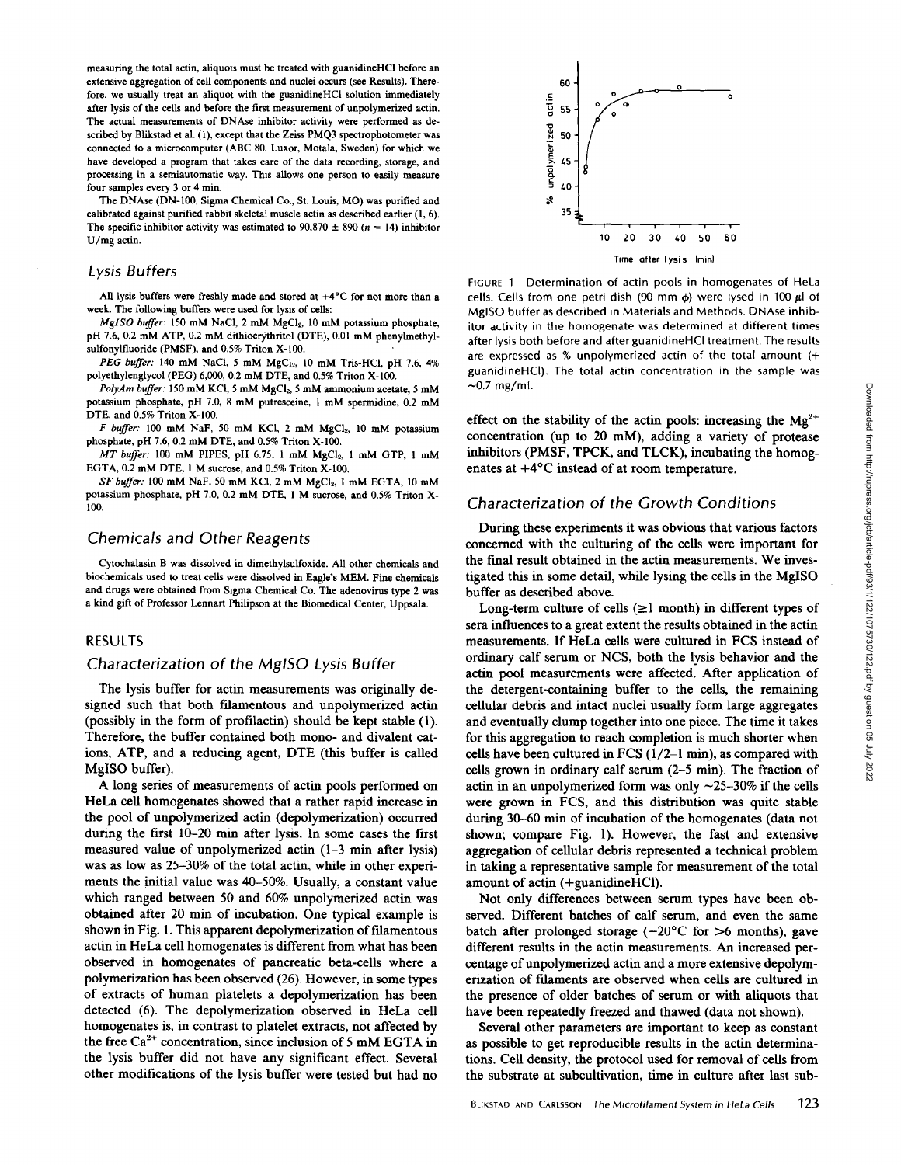measuring the total actin, aliquots must be treated with guanidineHCl before an extensive aggregation of cell components and nuclei occurs (see Results). Therefore, we usually treat an aliquot with the guanidineHCl solution immediately after lysis of the cells and before the first measurement of unpolymerized actin. The actual measurements of DNAse inhibitor activity were performed as described by Blikstad et al. (1), except that the Zeiss PMQ3 spectrophotometer was connected to a microcomputer (ABC 80, Luxor, Motala, Sweden) for which we have developed a program that takes care of the data recording, storage, and processing in a semiautomatic way. This allows one person to easily measure four samples every 3 or 4 min.

The DNAse (DN-100, Sigma Chemical Co., St . Louis, MO) was purified and calibrated against purified rabbit skeletal muscle actin as described earlier (1, 6) . The specific inhibitor activity was estimated to  $90,870 \pm 890$  (n = 14) inhibitor U/mg actin.

#### Lysis Buffers

All lysis buffers were freshly made and stored at +4°C for not more than a week. The following buffers were used for lysis of cells:

MgISO buffer: 150 mM NaCl, 2 mM MgCl<sub>2</sub>, 10 mM potassium phosphate, pH 7.6, 0.2 mM ATP, 0.2 mM dithioerythritol (DTE), 0.01 mM phenylmethylsulfonylfluoride (PMSF), and 0.5% Triton X-100.

PEG buffer: 140 mM NaCl, 5 mM MgCl<sub>2</sub>, 10 mM Tris-HCl, pH 7.6, 4% polyethylenglycol (PEG) 6,000, 0.2 mM DTE, and 0.5% Triton X-100.

PolyAm buffer: 150 mM KCl, 5 mM MgCl<sub>2</sub>, 5 mM ammonium acetate, 5 mM potassium phosphate, pH 7.0, <sup>8</sup> mM putresceine, <sup>1</sup> mM spermidine, 0.2 mM DTE, and 0.5% Triton X-100.

 $F$  buffer: 100 mM NaF, 50 mM KCl, 2 mM MgCl<sub>2</sub>, 10 mM potassium phosphate, pH 7.6, 0.2 mM DTE, and 0.5% Triton X-100.

MT buffer: 100 mM PIPES, pH 6.75, 1 mM MgCl<sub>2</sub>, 1 mM GTP, 1 mM EGTA, 0.2 mM DTE, 1 M sucrose, and 0.5% Triton X-100.

SF buffer: 100 mM NaF, 50 mM KCl, 2 mM MgCl<sub>2</sub>, 1 mM EGTA, 10 mM potassium phosphate, pH 7.0, 0.2 mM DTE, <sup>I</sup> M sucrose, and 0.5% Triton X-100.

## Chemicals and Other Reagents

Cytochalasin B was dissolved in dimethylsulfoxide. All other chemicals and biochemicals used to treat cells were dissolved in Eagle's MEM. Fine chemicals and drugs were obtained from Sigma Chemical Co. The adenovirus type 2 was a kind gift of Professor Lennart Philipson at the Biomedical Center, Uppsala.

#### RESULTS

## Characterization of the MgISO Lysis Buffer

The lysis buffer for actin measurements was originally designed such that both filamentous and unpolymerized actin (possibly in the form of profilactin) should be kept stable (1) . Therefore, the buffer contained both mono- and divalent cations, ATP, and <sup>a</sup> reducing agent, DTE (this buffer is called MgISO buffer).

A long series of measurements of actin pools performed on HeLa cell homogenates showed that a rather rapid increase in the pool of unpolymerized actin (depolymerization) occurred during the first 10-20 min after lysis . In some cases the first measured value of unpolymerized actin (1-3 min after lysis) was as low as 25-30% of the total actin, while in other experiments the initial value was 40-50%. Usually, a constant value which ranged between 50 and 60% unpolymerized actin was obtained after 20 min of incubation. One typical example is shown in Fig. 1. This apparent depolymerization of filamentous actin in HeLa cell homogenates is different from what has been observed in homogenates of pancreatic beta-cells where a polymerization has been observed (26) . However, in some types of extracts of human platelets a depolymerization has been detected (6). The depolymerization observed in HeLa cell homogenates is, in contrast to platelet extracts, not affected by the free  $Ca^{2+}$  concentration, since inclusion of 5 mM EGTA in the lysis buffer did not have any significant effect. Several other modifications of the lysis buffer were tested but had no



FIGURE <sup>1</sup> Determination of actin pools in homogenates of HeLa cells. Cells from one petri dish (90 mm  $\phi$ ) were lysed in 100  $\mu$ l of MgISO buffer as described in Materials and Methods. DNAse inhibitor activity in the homogenate was determined at different times after lysis both before and after guanidineHCl treatment. The results are expressed as % unpolymerized actin of the total amount (+ guanidineHCl) . The total actin concentration in the sample was  $\sim$ 0.7 mg/ml.

effect on the stability of the actin pools: increasing the  $Mg^{2+}$ concentration (up to 20 mM), adding a variety of protease inhibitors (PMSF, TPCK, and TLCK), incubating the homogenates at +4°C instead of at room temperature.

## Characterization of the Growth Conditions

During these experiments it was obvious that various factors concerned with the culturing of the cells were important for the final result obtained in the actin measurements. We investigated this in some detail, while lysing the cells in the MgISO buffer as described above.

Long-term culture of cells  $(\geq 1 \text{ month})$  in different types of sera influences to a great extent the results obtained in the actin measurements. If HeLa cells were cultured in FCS instead of ordinary calf serum or NCS, both the lysis behavior and the actin pool measurements were affected. After application of the detergent-containing buffer to the cells, the remaining cellular debris and intact nuclei usually form large aggregates and eventually clump together into one piece. The time it takes for this aggregation to reach completion is much shorter when cells have been cultured in FCS (1/2-1 min), as compared with cells grown in ordinary calf serum (2-5 min). The fraction of actin in an unpolymerized form was only  $\sim$ 25-30% if the cells were grown in FCS, and this distribution was quite stable during 30-60 min of incubation of the homogenates (data not shown; compare Fig. 1). However, the fast and extensive aggregation of cellular debris represented a technical problem in taking a representative sample for measurement of the total amount of actin (+guanidineHCl) .

Not only differences between serum types have been observed. Different batches of calf serum, and even the same batch after prolonged storage  $(-20^{\circ} \text{C})$  for  $>6$  months), gave different results in the actin measurements. An increased percentage of unpolymerized actin and a more extensive depolymerization of filaments are observed when cells are cultured in the presence of older batches of serum or with aliquots that have been repeatedly freezed and thawed (data not shown).

Several other parameters are important to keep as constant as possible to get reproducible results in the actin determinations . Cell density, the protocol used for removal of cells from the substrate at subcultivation, time in culture after last sub-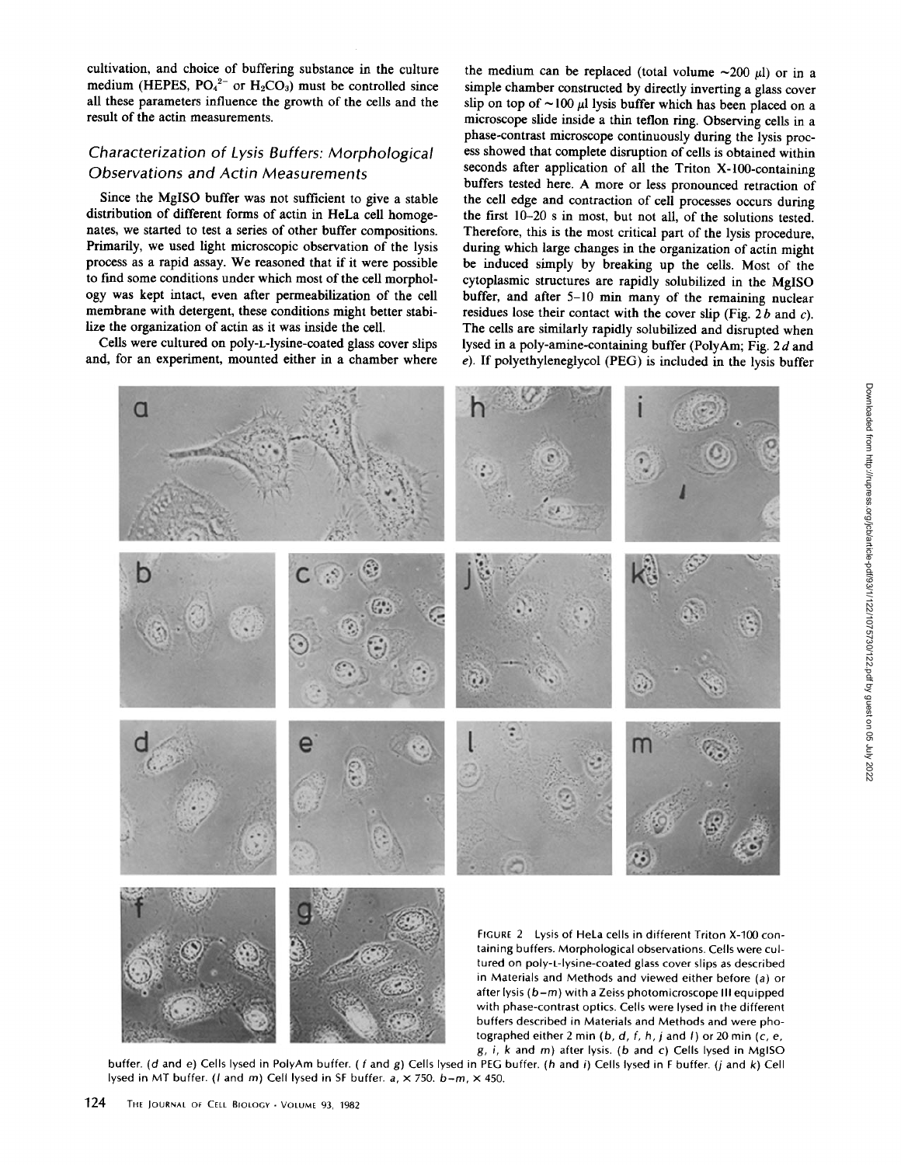cultivation, and choice of buffering substance in the culture medium (HEPES,  $PO_4^{2-}$  or  $H_2CO_3$ ) must be controlled since all these parameters influence the growth of the cells and the result of the actin measurements.

# Characterization of Lysis Buffers: Morphological Observations and Actin Measurements

Since the MgISO buffer was not sufficient to give a stable distribution of different forms of actin in HeLa cell homogenates, we started to test a series of other buffer compositions. Primarily, we used light microscopic observation of the lysis process as <sup>a</sup> rapid assay. We reasoned that if it were possible to find some conditions under which most of the cell morphology was kept intact, even after permeabilization of the cell membrane with detergent, these conditions might better stabilize the organization of actin as it was inside the cell.

Cells were cultured on poly-L-lysine-coated glass cover slips and, for an experiment, mounted either in a chamber where

the medium can be replaced (total volume  $\sim$ 200  $\mu$ l) or in a simple chamber constructed by directly inverting a glass cover slip on top of  $\sim$ 100  $\mu$ l lysis buffer which has been placed on a microscope slide inside a thin teflon ring. Observing cells in a phase-contrast microscope continuously during the lysis process showed that complete disruption of cells is obtained within seconds after application of all the Triton X-100-containing buffers tested here. A more or less pronounced retraction of the cell edge and contraction of cell processes occurs during the first 10-20 s in most, but not all, of the solutions tested. Therefore, this is the most critical part of the lysis procedure, during which large changes in the organization of actin might be induced simply by breaking up the cells. Most of the cytoplasmic structures are rapidly solubilized in the MgISO buffer, and after 5-10 min many of the remaining nuclear residues lose their contact with the cover slip (Fig. 2b and c). The cells are similarly rapidly solubilized and disrupted when lysed in a poly-amine-containing buffer (PolyAm; Fig. 2d and  $e$ ). If polyethyleneglycol (PEG) is included in the lysis buffer



buffer. (d and e) Cells lysed in PolyAm buffer. (f and g) Cells lysed in PEG buffer. (h and i) Cells lysed in F buffer. (j and k) Cell lysed in MT buffer. (*l* and *m*) Cell lysed in SF buffer.  $a, \times 750$ .  $b-m, \times 450$ .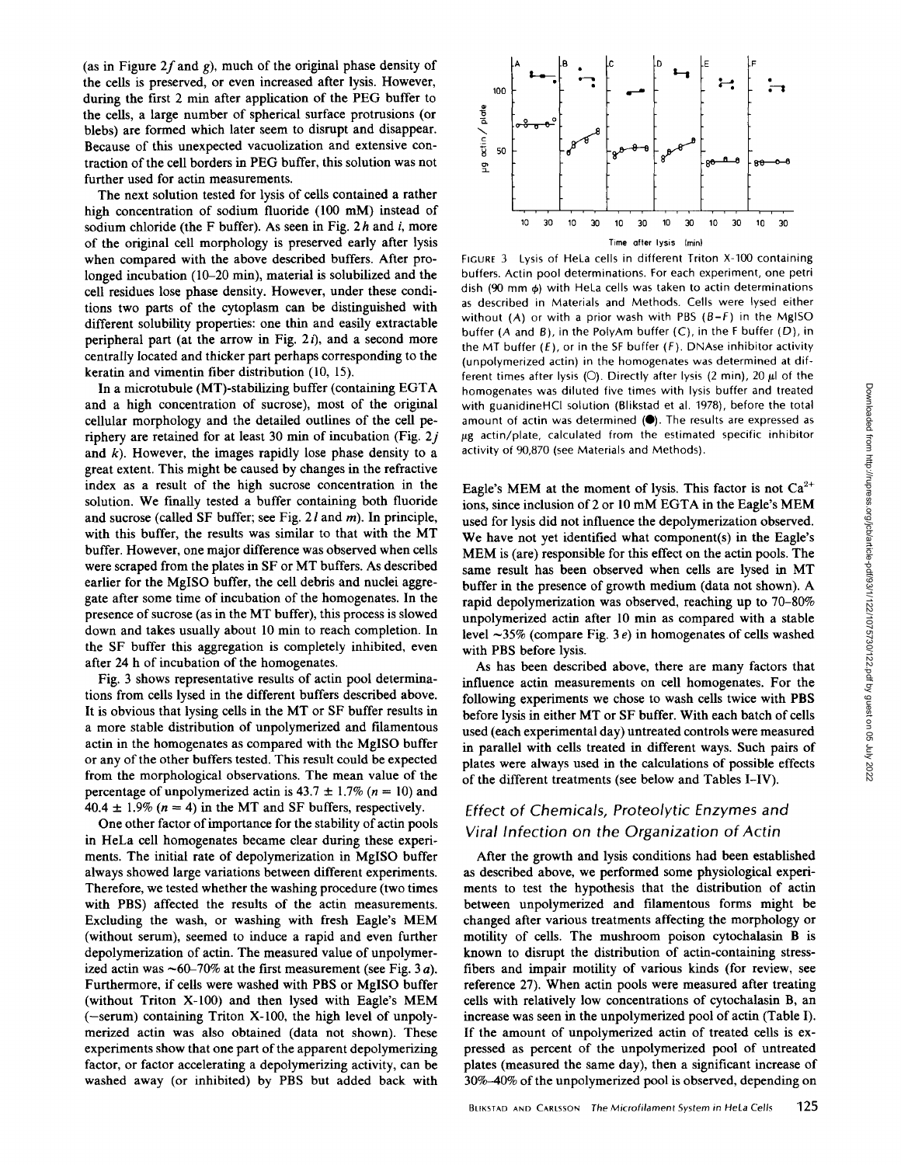(as in Figure 2f and g), much of the original phase density of the cells is preserved, or even increased after lysis. However, during the first <sup>2</sup> min after application of the PEG buffer to the cells, a large number of spherical surface protrusions (or blebs) are formed which later seem to disrupt and disappear. Because of this unexpected vacuolization and extensive contraction of the cell borders in PEG buffer, this solution was not further used for actin measurements.

The next solution tested for lysis of cells contained a rather high concentration of sodium fluoride (100 mM) instead of sodium chloride (the F buffer). As seen in Fig.  $2h$  and i, more of the original cell morphology is preserved early after lysis when compared with the above described buffers. After prolonged incubation (10-20 min), material is solubilized and the cell residues lose phase density. However, under these conditions two parts of the cytoplasm can be distinguished with different solubility properties: one thin and easily extractable peripheral part (at the arrow in Fig.  $2i$ ), and a second more centrally located and thicker part perhaps corresponding to the keratin and vimentin fiber distribution (10, 15).

In <sup>a</sup> microtubule (MT)-stabilizing buffer (containing EGTA and a high concentration of sucrose), most of the original cellular morphology and the detailed outlines of the cell periphery are retained for at least 30 min of incubation (Fig.  $2j$ and  $k$ ). However, the images rapidly lose phase density to a great extent. This might be caused by changes in the refractive index as a result of the high sucrose concentration in the solution. We finally tested a buffer containing both fluoride and sucrose (called SF buffer; see Fig.  $2l$  and m). In principle, with this buffer, the results was similar to that with the MT buffer. However, one major difference was observed when cells were scraped from the plates in SF or MT buffers. As described earlier for the MgISO buffer, the cell debris and nuclei aggregate after some time of incubation of the homogenates . In the presence of sucrose (as in the MT buffer), this process is slowed down and takes usually about 10 min to reach completion. In the SF buffer this aggregation is completely inhibited, even after 24 h of incubation of the homogenates.

Fig. 3 shows representative results of actin pool determinations from cells lysed in the different buffers described above. It is obvious that lysing cells in the MT or SF buffer results in a more stable distribution of unpolymerized and filamentous actin in the homogenates as compared with the MgISO buffer or any of the other buffers tested . This result could be expected from the morphological observations . The mean value of the percentage of unpolymerized actin is  $43.7 \pm 1.7\%$  ( $n = 10$ ) and 40.4  $\pm$  1.9% (n = 4) in the MT and SF buffers, respectively.

One other factor of importance for the stability of actin pools in HeLa cell homogenates became clear during these experiments. The initial rate of depolymerization in MgISO buffer always showed large variations between different experiments. Therefore, we tested whether the washing procedure (two times with PBS) affected the results of the actin measurements. Excluding the wash, or washing with fresh Eagle's MEM (without serum), seemed to induce a rapid and even further depolymerization of actin. The measured value of unpolymerized actin was  $\sim 60-70\%$  at the first measurement (see Fig. 3*a*). Furthermore, if cells were washed with PBS or MgISO buffer (without Triton X-100) and then lysed with Eagle's MEM (-serum) containing Triton X-100, the high level of unpolymerized actin was also obtained (data not shown). These experiments show that one part of the apparent depolymerizing factor, or factor accelerating a depolymerizing activity, can be washed away (or inhibited) by PBS but added back with



FIGURE <sup>3</sup> Lysis of HeLa cells in different Triton X-100 containing buffers. Actin pool determinations . For each experiment, one petri dish (90 mm  $\phi$ ) with HeLa cells was taken to actin determinations as described in Materials and Methods. Cells were lysed either without (A) or with a prior wash with PBS  $(B-F)$  in the MgISO buffer (A and B), in the PolyAm buffer (C), in the F buffer (D), in the MT buffer  $(E)$ , or in the SF buffer  $(F)$ . DNAse inhibitor activity (unpolymerized actin) in the homogenates was determined at different times after lysis (O). Directly after lysis (2 min), 20  $\mu$ l of the homogenates was diluted five times with lysis buffer and treated with guanidineHCl solution (Blikstad et al. 1978), before the total amount of actin was determined  $(\bullet)$ . The results are expressed as  $\mu$ g actin/plate, calculated from the estimated specific inhibitor activity of 90,870 (see Materials and Methods) .

Eagle's MEM at the moment of lysis. This factor is not  $Ca^{2+}$ ions, since inclusion of <sup>2</sup> or <sup>10</sup> mM EGTA in the Eagle's MEM used for lysis did not influence the depolymerization observed . We have not yet identified what component(s) in the Eagle's MEM is (are) responsible for this effect on the actin pools. The same result has been observed when cells are lysed in MT buffer in the presence of growth medium (data not shown). A rapid depolymerization was observed, reaching up to 70-80% unpolymerized actin after 10 min as compared with a stable level  $\sim$ 35% (compare Fig. 3 e) in homogenates of cells washed with PBS before lysis.

As has been described above, there are many factors that influence actin measurements on cell homogenates. For the following experiments we chose to wash cells twice with PBS before lysis in either MT or SF buffer. With each batch of cells used (each experimental day) untreated controls were measured in parallel with cells treated in different ways. Such pairs of plates were always used in the calculations of possible effects of the different treatments (see below and Tables I-IV).

# Effect of Chemicals, Proteolytic Enzymes and Viral Infection on the Organization of Actin

After the growth and lysis conditions had been established as described above, we performed some physiological experiments to test the hypothesis that the distribution of actin between unpolymerized and filamentous forms might be changed after various treatments affecting the morphology or motility of cells. The mushroom poison cytochalasin B is known to disrupt the distribution of actin-containing stressfibers and impair motility of various kinds (for review, see reference 27). When actin pools were measured after treating cells with relatively low concentrations of cytochalasin B, an increase was seen in the unpolymerized pool of actin (Table I). If the amount of unpolymerized actin of treated cells is expressed as percent of the unpolymerized pool of untreated plates (measured the same day), then a significant increase of 30%-40% of the unpolymerized pool is observed, depending on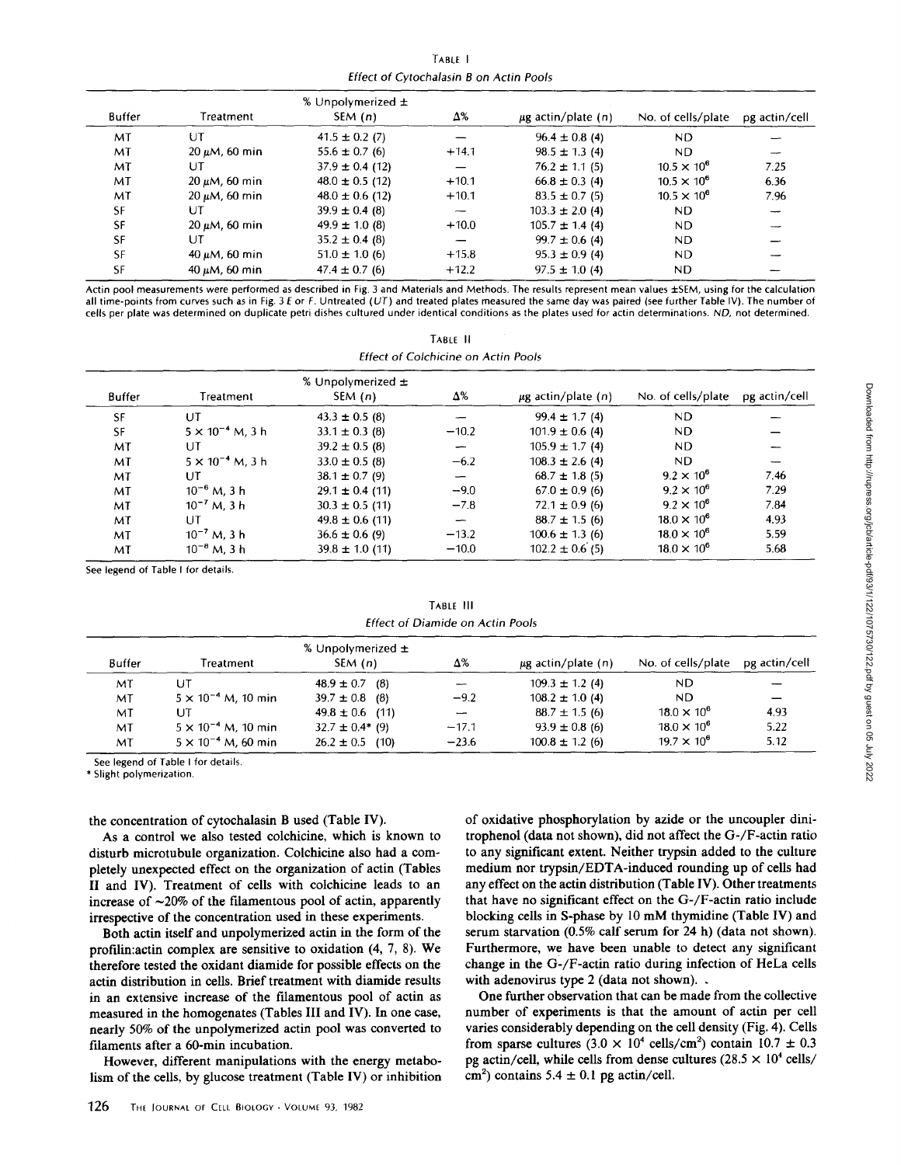TABLE Effect of Cytochalasin B on Actin Pools

| <b>Buffer</b> | Treatment           | % Unpolymerized $\pm$<br>SEM(n) | Δ%      | $\mu$ g actin/plate (n) | No. of cells/plate   | pg actin/cell |
|---------------|---------------------|---------------------------------|---------|-------------------------|----------------------|---------------|
| MT            | UT                  | $41.5 \pm 0.2$ (7)              |         | $96.4 \pm 0.8$ (4)      | ND.                  |               |
| MT            | $20 \mu M$ , 60 min | $55.6 \pm 0.7(6)$               | $+14.1$ | $98.5 \pm 1.3(4)$       | ND.                  |               |
| MT            | UT                  | $37.9 \pm 0.4$ (12)             |         | $76.2 \pm 1.1$ (5)      | $10.5 \times 10^{6}$ | 7.25          |
| MT            | $20 \mu M$ , 60 min | $48.0 \pm 0.5$ (12)             | $+10.1$ | $66.8 \pm 0.3$ (4)      | $10.5 \times 10^{6}$ | 6.36          |
| MT            | $20 \mu M$ , 60 min | $48.0 \pm 0.6$ (12)             | $+10.1$ | $83.5 \pm 0.7(5)$       | $10.5 \times 10^{6}$ | 7.96          |
| <b>SF</b>     | UT                  | $39.9 \pm 0.4$ (8)              |         | $103.3 \pm 2.0$ (4)     | ND.                  |               |
| <b>SF</b>     | $20 \mu M$ , 60 min | $49.9 \pm 1.0$ (8)              | $+10.0$ | $105.7 \pm 1.4$ (4)     | ND.                  |               |
| <b>SF</b>     | UT                  | $35.2 \pm 0.4$ (8)              |         | $99.7 \pm 0.6$ (4)      | ND.                  |               |
| <b>SF</b>     | $40 \mu M$ , 60 min | $51.0 \pm 1.0$ (6)              | $+15.8$ | $95.3 \pm 0.9$ (4)      | ND.                  |               |
| SF            | $40 \mu M$ , 60 min | $47.4 \pm 0.7$ (6)              | $+12.2$ | $97.5 \pm 1.0$ (4)      | ND.                  |               |

Actin pool measurements were performed as described in Fig. 3 and Materials and Methods. The results represent mean values ±SEM, using for the calculation all time-points from curves such as in Fig. 3 E or F. Untreated (UT) and treated plates measured the same day was paired (see further Table IV). The number of cells per plate was determined on duplicate petri dishes cultured under identical conditions as the plates used for actin determinations . NO, not determined .

| TABLE II                            |
|-------------------------------------|
| Effect of Colchicine on Actin Pools |

|           |                           | % Unpolymerized $\pm$ |                          |                         |                      |               |
|-----------|---------------------------|-----------------------|--------------------------|-------------------------|----------------------|---------------|
| Buffer    | Treatment                 | SEM(n)                | Δ%                       | $\mu$ g actin/plate (n) | No. of cells/plate   | pg actin/cell |
| SF        | UT                        | $43.3 \pm 0.5$ (8)    | ∽                        | $99.4 \pm 1.7(4)$       | <b>ND</b>            |               |
| <b>SF</b> | $5 \times 10^{-4}$ M, 3 h | $33.1 \pm 0.3$ (8)    | $-10.2$                  | $101.9 \pm 0.6$ (4)     | ND.                  |               |
| MT        | UT                        | $39.2 \pm 0.5$ (8)    | $\overline{\phantom{m}}$ | $105.9 \pm 1.7(4)$      | ND.                  |               |
| MT        | $5 \times 10^{-4}$ M, 3 h | $33.0 \pm 0.5$ (8)    | $-6.2$                   | $108.3 \pm 2.6$ (4)     | ND.                  |               |
| MT        | UT                        | $38.1 \pm 0.7$ (9)    | $\overline{\phantom{0}}$ | $68.7 \pm 1.8$ (5)      | $9.2 \times 10^{6}$  | 7.46          |
| MT        | $10^{-6}$ M, 3 h          | $29.1 \pm 0.4$ (11)   | $-9.0$                   | $67.0 \pm 0.9$ (6)      | $9.2 \times 10^6$    | 7.29          |
| MT        | $10^{-7}$ M, 3 h          | $30.3 \pm 0.5$ (11)   | $-7.8$                   | $72.1 \pm 0.9$ (6)      | $9.2 \times 10^{6}$  | 7.84          |
| MT        | UT                        | $49.8 \pm 0.6$ (11)   | $\overline{\phantom{0}}$ | $88.7 \pm 1.5$ (6)      | $18.0 \times 10^6$   | 4.93          |
| MT        | $10^{-7}$ M, 3 h          | $36.6 \pm 0.6$ (9)    | $-13.2$                  | $100.6 \pm 1.3$ (6)     | $18.0 \times 10^{6}$ | 5.59          |
| МT        | $10^{-8}$ M, 3 h          | $39.8 \pm 1.0$ (11)   | $-10.0$                  | $102.2 \pm 0.6$ (5)     | $18.0 \times 10^{6}$ | 5.68          |

See legend of Table <sup>I</sup> for details.

TABLE III Effect of Diamide on Actin Pools

| Buffer | Treatment                    | % Unpolymerized $\pm$<br>SEM (n) | Δ%      | $\mu$ g actin/plate (n) | No. of cells/plate | pg actin/cell |
|--------|------------------------------|----------------------------------|---------|-------------------------|--------------------|---------------|
| МT     | UT                           | $48.9 \pm 0.7$ (8)               |         | $109.3 \pm 1.2$ (4)     | ND.                |               |
| МT     | $5 \times 10^{-4}$ M, 10 min | $39.7 \pm 0.8$ (8)               | $-9.2$  | $108.2 \pm 1.0$ (4)     | ND.                |               |
| MT     | UT                           | $49.8 \pm 0.6$ (11)              |         | $88.7 \pm 1.5$ (6)      | $18.0 \times 10^6$ | 4.93          |
| МT     | $5 \times 10^{-4}$ M, 10 min | $32.7 \pm 0.4*$ (9)              | $-17.1$ | $93.9 \pm 0.8$ (6)      | $18.0 \times 10^6$ | 5.22          |
| МT     | $5 \times 10^{-4}$ M, 60 min | $26.2 \pm 0.5$ (10)              | $-23.6$ | $100.8 \pm 1.2$ (6)     | $19.7 \times 10^6$ | 5.12          |

See legend of Table <sup>I</sup> for details,

\* Slight polymerization,

the concentration of cytochalasin B used (Table IV).

As a control we also tested colchicine, which is known to disturb microtubule organization. Colchicine also had a completely unexpected effect on the organization of actin (Tables II and IV). Treatment of cells with colchicine leads to an increase of  $\sim$ 20% of the filamentous pool of actin, apparently irrespective of the concentration used in these experiments .

Both actin itself and unpolymerized actin in the form of the profilin: actin complex are sensitive to oxidation  $(4, 7, 8)$ . We therefore tested the oxidant diamide for possible effects on the actin distribution in cells. Brief treatment with diamide results in an extensive increase of the filamentous pool of actin as measured in the homogenates (Tables III and IV). In one case, nearly 50% of the unpolymerized actin pool was converted to filaments after a 60-min incubation.

However, different manipulations with the energy metabolism of the cells, by glucose treatment (Table IV) or inhibition of oxidative phosphorylation by azide or the uncoupler dinitrophenol (data not shown), did not affect the G-/F-actin ratio to any significant extent. Neither trypsin added to the culture medium nor trypsin/EDTA-induced rounding up of cells had any effect on the actin distribution (Table IV). Other treatments that have no significant effect on the G-/F-actin ratio include blocking cells in S-phase by <sup>10</sup> mM thymidine (Table IV) and serum starvation (0.5% calf serum for 24 h) (data not shown). Furthermore, we have been unable to detect any significant change in the G-/F-actin ratio during infection of HeLa cells with adenovirus type 2 (data not shown). .

One further observation that can be made from the collective number of experiments is that the amount of actin per cell varies considerably depending on the cell density (Fig. 4). Cells from sparse cultures  $(3.0 \times 10^4 \text{ cells/cm}^2)$  contain  $10.7 \pm 0.3$ pg actin/cell, while cells from dense cultures ( $28.5 \times 10^4$  cells/ cm<sup>2</sup>) contains 5.4  $\pm$  0.1 pg actin/cell.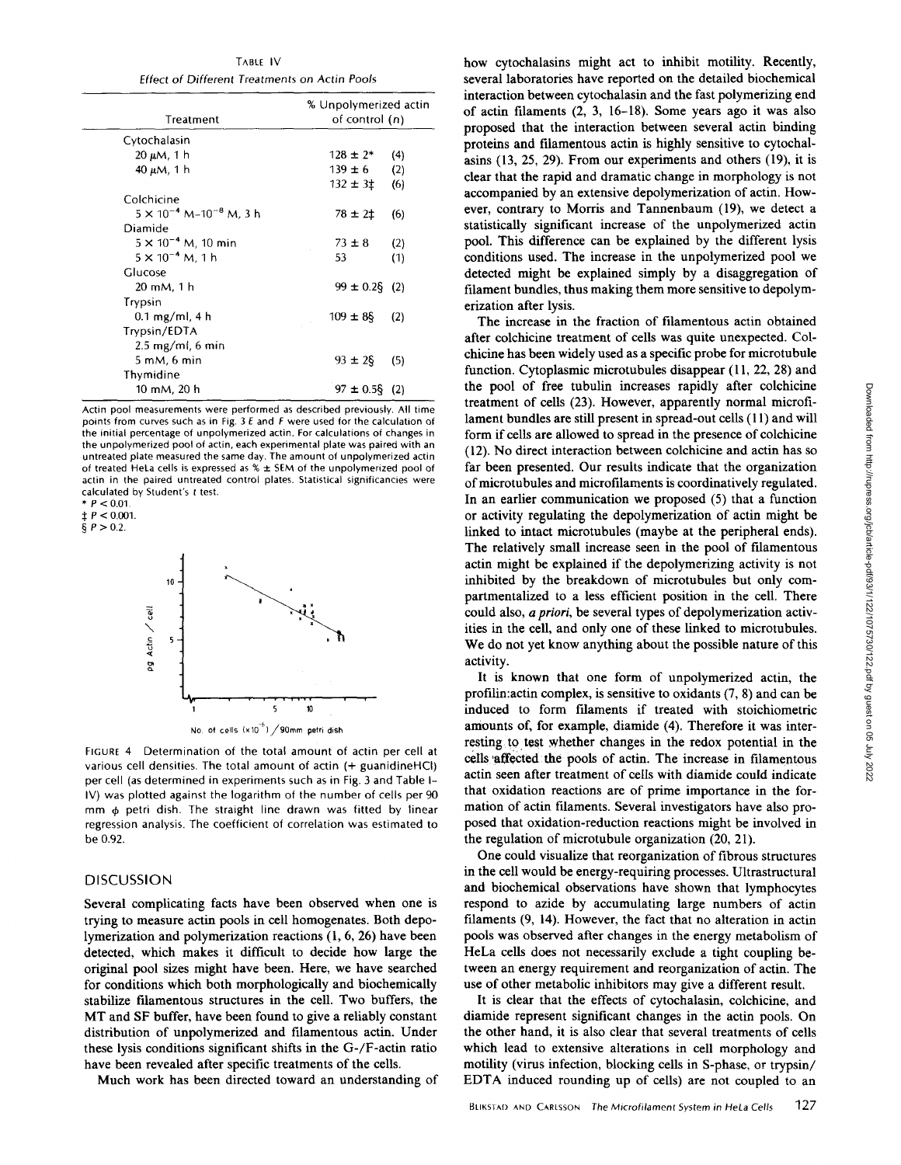TABLE IV Effect of Different Treatments on Actin Pools

| Treatment                              | % Unpolymerized actin<br>of control (n) |     |  |
|----------------------------------------|-----------------------------------------|-----|--|
| Cytochalasin                           |                                         |     |  |
| 20 µM, 1 h                             | $128 \pm 2*$                            | (4) |  |
| $40 \mu M$ , 1 h                       | $139 \pm 6$                             | (2) |  |
|                                        | $132 \pm 31$                            | (6) |  |
| Colchicine                             |                                         |     |  |
| $5 \times 10^{-4}$ M–10 $^{-8}$ M, 3 h | $78 \pm 21$                             | (6) |  |
| Diamide                                |                                         |     |  |
| $5 \times 10^{-4}$ M, 10 min           | $73 \pm 8$                              | (2) |  |
| $5 \times 10^{-4}$ M, 1 h              | 53                                      | (1) |  |
| Glucose                                |                                         |     |  |
| 20 mM, 1 h                             | $99 \pm 0.2$ §                          | (2) |  |
| Trypsin                                |                                         |     |  |
| $0.1 \text{ mg/ml}$ , 4 h              | $109 \pm 85$                            | (2) |  |
| Trypsin/EDTA                           |                                         |     |  |
| $2.5 \text{ mg/ml}$ , 6 min            |                                         |     |  |
| 5 mM, 6 min                            | $93 \pm 25$                             | (5) |  |
| Thymidine                              |                                         |     |  |
| 10 mM, 20 h                            | $97 \pm 0.58$                           | (2) |  |

Actin pool measurements were performed as described previously All time points from curves such as in Fig. 3 E and F were used for the calculation of the initial percentage of unpolymerized actin. For calculations of changes in the unpolymerized pool of actin, each experimental plate was paired with an untreated plate measured the same day. The amount of unpolymerized actin of treated HeLa cells is expressed as % ± SEM of the unpolymerized pool of actin in the paired untreated control plates. Statistical significancies were calculated by Student's t test.

 $*$  P < 0.01.  $\sharp$  P < 0.001.

 $§$  P > 0.2.



No. of cells (x10<sup>-6</sup>) / 90mm petri dish

FIGURE 4 Determination of the total amount of actin per cell at various cell densities. The total amount of actin (+ guanidineHCI) per cell (as determined in experiments such as in Fig. 3 and Table <sup>I</sup> IV) was plotted against the logarithm of the number of cells per 90 mm  $\phi$  petri dish. The straight line drawn was fitted by linear regression analysis. The coefficient of correlation was estimated to be 0.92.

## DISCUSSION

Several complicating facts have been observed when one is trying to measure actin pools in cell homogenates . Both depolymerization and polymerization reactions (1, 6, 26) have been detected, which makes it difficult to decide how large the original pool sizes might have been. Here, we have searched for conditions which both morphologically and biochemically stabilize filamentous structures in the cell . Two buffers, the MT and SF buffer, have been found to give <sup>a</sup> reliably constant distribution of unpolymerized and filamentous actin. Under these lysis conditions significant shifts in the G-/F-actin ratio have been revealed after specific treatments of the cells.

Much work has been directed toward an understanding of

how cytochalasins might act to inhibit motility. Recently, several laboratories have reported on the detailed biochemical interaction between cytochalasin and the fast polymerizing end of actin filaments (2, 3, 16-18). Some years ago it was also proposed that the interaction between several actin binding proteins and filamentous actin is highly sensitive to cytochalasins (13, 25, 29). From our experiments and others (19), it is clear that the rapid and dramatic change in morphology is not accompanied by an extensive depolymerization of actin. However, contrary to Morris and Tannenbaum (19), we detect a statistically significant increase of the unpolymerized actin pool. This difference can be explained by the different lysis conditions used. The increase in the unpolymerized pool we detected might be explained simply by a disaggregation of filament bundles, thus making them more sensitive to depolymerization after lysis.

The increase in the fraction of filamentous actin obtained after colchicine treatment of cells was quite unexpected. Colchicine has been widely used as a specific probe for microtubule function. Cytoplasmic microtubules disappear (11, 22, 28) and the pool of free tubulin increases rapidly after colchicine treatment of cells (23). However, apparently normal microfilament bundles are still present in spread-out cells (11) and will form if cells are allowed to spread in the presence of colchicine (12) . No direct interaction between colchicine and actin has so far been presented. Our results indicate that the organization ofmicrotubules and microfilaments is coordinatively regulated. In an earlier communication we proposed (5) that a function or activity regulating the depolymerization of actin might be linked to intact microtubules (maybe at the peripheral ends). The relatively small increase seen in the pool of filamentous actin might be explained if the depolymerizing activity is not inhibited by the breakdown of microtubules but only compartmentalized to a less efficient position in the cell. There could also, a priori, be several types of depolymerization activities in the cell, and only one of these linked to microtubules. We do not yet know anything about the possible nature of this activity.

It is known that one form of unpolymerized actin, the profilin: actin complex, is sensitive to oxidants  $(7, 8)$  and can be induced to form filaments if treated with stoichiometric amounts of, for example, diamide (4) . Therefore it was interresting to test whether changes in the redox potential in the cells affected the pools of actin. The increase in filamentous actin seen after treatment of cells with diamide could indicate that oxidation reactions are of prime importance in the formation of actin filaments. Several investigators have also proposed that oxidation-reduction reactions might be involved in the regulation of microtubule organization (20, 21) .

One could visualize that reorganization of fibrous structures in the cell would be energy-requiring processes . Ultrastructural and biochemical observations have shown that lymphocytes respond to azide by accumulating large numbers of actin filaments (9, 14) . However, the fact that no alteration in actin pools was observed after changes in the energy metabolism of HeLa cells does not necessarily exclude a tight coupling between an energy requirement and reorganization of actin. The use of other metabolic inhibitors may give a different result.

It is clear that the effects of cytochalasin, colchicine, and diamide represent significant changes in the actin pools . On the other hand, it is also clear that several treatments of cells which lead to extensive alterations in cell morphology and motility (virus infection, blocking cells in S-phase, or trypsin/ EDTA induced rounding up of cells) are not coupled to an